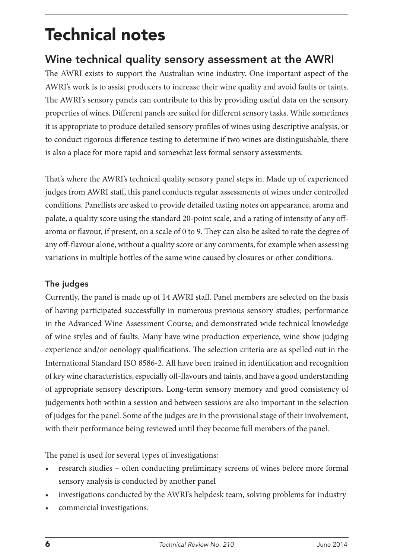# Technical notes

# Wine technical quality sensory assessment at the AWRI

The AWRI exists to support the Australian wine industry. One important aspect of the AWRI's work is to assist producers to increase their wine quality and avoid faults or taints. The AWRI's sensory panels can contribute to this by providing useful data on the sensory properties of wines. Different panels are suited for different sensory tasks. While sometimes it is appropriate to produce detailed sensory profiles of wines using descriptive analysis, or to conduct rigorous difference testing to determine if two wines are distinguishable, there is also a place for more rapid and somewhat less formal sensory assessments.

That's where the AWRI's technical quality sensory panel steps in. Made up of experienced judges from AWRI staff, this panel conducts regular assessments of wines under controlled conditions. Panellists are asked to provide detailed tasting notes on appearance, aroma and palate, a quality score using the standard 20-point scale, and a rating of intensity of any offaroma or flavour, if present, on a scale of 0 to 9. They can also be asked to rate the degree of any off-flavour alone, without a quality score or any comments, for example when assessing variations in multiple bottles of the same wine caused by closures or other conditions.

# The judges

Currently, the panel is made up of 14 AWRI staff. Panel members are selected on the basis of having participated successfully in numerous previous sensory studies; performance in the Advanced Wine Assessment Course; and demonstrated wide technical knowledge of wine styles and of faults. Many have wine production experience, wine show judging experience and/or oenology qualifications. The selection criteria are as spelled out in the International Standard ISO 8586-2. All have been trained in identification and recognition of key wine characteristics, especially off-flavours and taints, and have a good understanding of appropriate sensory descriptors. Long-term sensory memory and good consistency of judgements both within a session and between sessions are also important in the selection of judges for the panel. Some of the judges are in the provisional stage of their involvement, with their performance being reviewed until they become full members of the panel.

The panel is used for several types of investigations:

- research studies often conducting preliminary screens of wines before more formal sensory analysis is conducted by another panel
- investigations conducted by the AWRI's helpdesk team, solving problems for industry
- commercial investigations.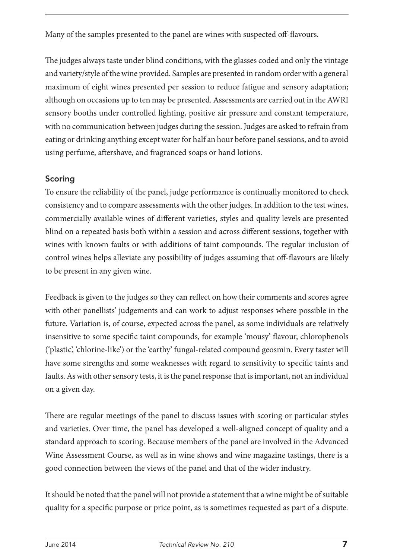Many of the samples presented to the panel are wines with suspected off-flavours.

The judges always taste under blind conditions, with the glasses coded and only the vintage and variety/style of the wine provided. Samples are presented in random order with a general maximum of eight wines presented per session to reduce fatigue and sensory adaptation; although on occasions up to ten may be presented. Assessments are carried out in the AWRI sensory booths under controlled lighting, positive air pressure and constant temperature, with no communication between judges during the session. Judges are asked to refrain from eating or drinking anything except water for half an hour before panel sessions, and to avoid using perfume, aftershave, and fragranced soaps or hand lotions.

# Scoring

To ensure the reliability of the panel, judge performance is continually monitored to check consistency and to compare assessments with the other judges. In addition to the test wines, commercially available wines of different varieties, styles and quality levels are presented blind on a repeated basis both within a session and across different sessions, together with wines with known faults or with additions of taint compounds. The regular inclusion of control wines helps alleviate any possibility of judges assuming that off-flavours are likely to be present in any given wine.

Feedback is given to the judges so they can reflect on how their comments and scores agree with other panellists' judgements and can work to adjust responses where possible in the future. Variation is, of course, expected across the panel, as some individuals are relatively insensitive to some specific taint compounds, for example 'mousy' flavour, chlorophenols ('plastic', 'chlorine-like') or the 'earthy' fungal-related compound geosmin. Every taster will have some strengths and some weaknesses with regard to sensitivity to specific taints and faults. As with other sensory tests, it is the panel response that is important, not an individual on a given day.

There are regular meetings of the panel to discuss issues with scoring or particular styles and varieties. Over time, the panel has developed a well-aligned concept of quality and a standard approach to scoring. Because members of the panel are involved in the Advanced Wine Assessment Course, as well as in wine shows and wine magazine tastings, there is a good connection between the views of the panel and that of the wider industry.

It should be noted that the panel will not provide a statement that a wine might be of suitable quality for a specific purpose or price point, as is sometimes requested as part of a dispute.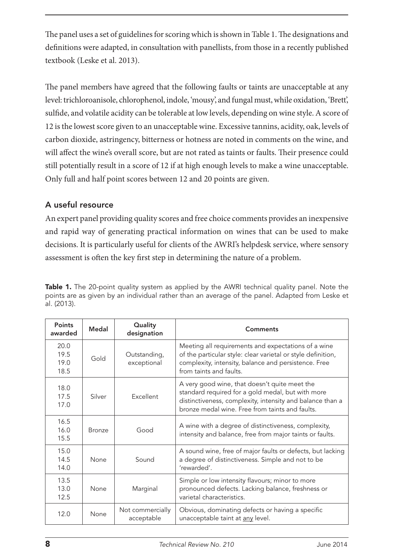The panel uses a set of guidelines for scoring which is shown in Table 1. The designations and definitions were adapted, in consultation with panellists, from those in a recently published textbook (Leske et al. 2013).

The panel members have agreed that the following faults or taints are unacceptable at any level: trichloroanisole, chlorophenol, indole, 'mousy', and fungal must, while oxidation, 'Brett', sulfide, and volatile acidity can be tolerable at low levels, depending on wine style. A score of 12 is the lowest score given to an unacceptable wine. Excessive tannins, acidity, oak, levels of carbon dioxide, astringency, bitterness or hotness are noted in comments on the wine, and will affect the wine's overall score, but are not rated as taints or faults. Their presence could still potentially result in a score of 12 if at high enough levels to make a wine unacceptable. Only full and half point scores between 12 and 20 points are given.

## A useful resource

An expert panel providing quality scores and free choice comments provides an inexpensive and rapid way of generating practical information on wines that can be used to make decisions. It is particularly useful for clients of the AWRI's helpdesk service, where sensory assessment is often the key first step in determining the nature of a problem.

| Points<br>awarded            | Medal  | Quality<br>designation         | Comments                                                                                                                                                                                                           |
|------------------------------|--------|--------------------------------|--------------------------------------------------------------------------------------------------------------------------------------------------------------------------------------------------------------------|
| 20.0<br>19.5<br>19.0<br>18.5 | Gold   | Outstanding,<br>exceptional    | Meeting all requirements and expectations of a wine<br>of the particular style: clear varietal or style definition,<br>complexity, intensity, balance and persistence. Free<br>from taints and faults.             |
| 18.0<br>17.5<br>17.0         | Silver | Excellent                      | A very good wine, that doesn't quite meet the<br>standard required for a gold medal, but with more<br>distinctiveness, complexity, intensity and balance than a<br>bronze medal wine. Free from taints and faults. |
| 16.5<br>16.0<br>15.5         | Bronze | Good                           | A wine with a degree of distinctiveness, complexity,<br>intensity and balance, free from major taints or faults.                                                                                                   |
| 15.0<br>14.5<br>14.0         | None   | Sound                          | A sound wine, free of major faults or defects, but lacking<br>a degree of distinctiveness. Simple and not to be<br>'rewarded'.                                                                                     |
| 13.5<br>13.0<br>12.5         | None   | Marginal                       | Simple or low intensity flavours; minor to more<br>pronounced defects. Lacking balance, freshness or<br>varietal characteristics.                                                                                  |
| 12.0                         | None   | Not commercially<br>acceptable | Obvious, dominating defects or having a specific<br>unacceptable taint at any level.                                                                                                                               |

Table 1. The 20-point quality system as applied by the AWRI technical quality panel. Note the points are as given by an individual rather than an average of the panel. Adapted from Leske et al. (2013).